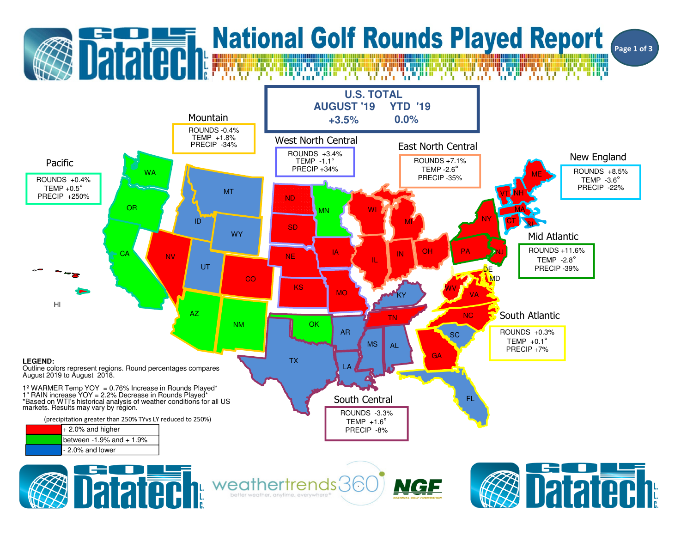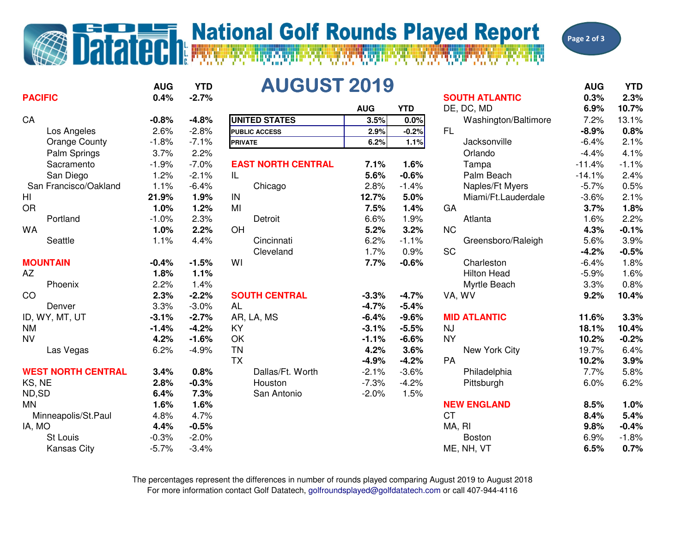## **Datated National Golf Rounds Played Report**

Page 2 of 3

|                           | <b>AUG</b>      | <b>YTD</b> | <b>AUGUST 2019</b>        |            |            |                                     | <b>AUG</b>   | <b>YTD</b>         |
|---------------------------|-----------------|------------|---------------------------|------------|------------|-------------------------------------|--------------|--------------------|
| <b>PACIFIC</b>            | 0.4%            | $-2.7%$    |                           | <b>AUG</b> | <b>YTD</b> | <b>SOUTH ATLANTIC</b><br>DE, DC, MD | 0.3%<br>6.9% | 2.3%<br>10.7%      |
| CA                        | $-0.8%$         | $-4.8%$    | <b>UNITED STATES</b>      | 3.5%       | 0.0%       | Washington/Baltimore                | 7.2%         | 13.1%              |
| Los Angeles               | 2.6%            | $-2.8%$    | <b>PUBLIC ACCESS</b>      | 2.9%       | $-0.2%$    | FL.                                 | $-8.9%$      | 0.8%               |
| <b>Orange County</b>      | $-1.8%$         | $-7.1%$    | <b>PRIVATE</b>            | 6.2%       | 1.1%       | Jacksonville                        | $-6.4%$      | 2.1%               |
| Palm Springs              | 3.7%            | 2.2%       |                           |            |            | Orlando                             | $-4.4%$      | 4.1%               |
| Sacramento                | $-1.9%$         | $-7.0%$    | <b>EAST NORTH CENTRAL</b> | 7.1%       | 1.6%       | Tampa                               | $-11.4%$     | $-1.1%$            |
| San Diego                 | 1.2%            | $-2.1%$    | IL.                       | 5.6%       | $-0.6%$    | Palm Beach                          | $-14.1%$     | 2.4%               |
| San Francisco/Oakland     | 1.1%            | $-6.4%$    | Chicago                   | 2.8%       | $-1.4%$    | Naples/Ft Myers                     | $-5.7%$      | 0.5%               |
| H <sub>l</sub>            | 21.9%           | 1.9%       | IN                        | 12.7%      | 5.0%       | Miami/Ft.Lauderdale                 | $-3.6%$      | 2.1%               |
| <b>OR</b>                 | 1.0%            | 1.2%       | MI                        | 7.5%       | 1.4%       | GA                                  | 3.7%         | 1.8%               |
| Portland                  | $-1.0%$         | 2.3%       | Detroit                   | 6.6%       | 1.9%       | Atlanta                             | 1.6%         | 2.2%               |
| <b>WA</b>                 | 1.0%            | 2.2%       | OH                        | 5.2%       | 3.2%       | <b>NC</b>                           | 4.3%         | $-0.1%$            |
| Seattle                   | 1.1%            | 4.4%       | Cincinnati                | 6.2%       | $-1.1%$    | Greensboro/Raleigh                  | 5.6%         | 3.9%               |
|                           |                 |            | Cleveland                 | 1.7%       | 0.9%       | <b>SC</b>                           | $-4.2%$      | $-0.5%$            |
| <b>MOUNTAIN</b>           | $-0.4%$         | $-1.5%$    | WI                        | 7.7%       | $-0.6%$    | Charleston                          | $-6.4%$      | 1.8%               |
| AZ                        | 1.8%            | 1.1%       |                           |            |            | <b>Hilton Head</b>                  | $-5.9%$      | 1.6%               |
| Phoenix                   | 2.2%            | 1.4%       |                           |            |            | Myrtle Beach                        | 3.3%         | 0.8%               |
| CO                        | 2.3%            | $-2.2%$    | <b>SOUTH CENTRAL</b>      | $-3.3%$    | $-4.7%$    | VA, WV                              | 9.2%         | 10.4%              |
| Denver                    | 3.3%            | $-3.0%$    | <b>AL</b>                 | $-4.7%$    | $-5.4%$    |                                     |              |                    |
| ID, WY, MT, UT            | $-3.1%$         | $-2.7%$    | AR, LA, MS                | $-6.4%$    | $-9.6%$    | <b>MID ATLANTIC</b>                 | 11.6%        | 3.3%               |
| <b>NM</b>                 | $-1.4%$         | $-4.2%$    | <b>KY</b>                 | $-3.1%$    | $-5.5%$    | <b>NJ</b>                           | 18.1%        | 10.4%              |
| <b>NV</b>                 | 4.2%            | $-1.6%$    | OK                        | $-1.1%$    | $-6.6%$    | <b>NY</b>                           | 10.2%        | $-0.2%$            |
| Las Vegas                 | 6.2%            | $-4.9%$    | <b>TN</b>                 | 4.2%       | 3.6%       | New York City                       | 19.7%        | 6.4%               |
|                           |                 |            | <b>TX</b>                 | $-4.9%$    | $-4.2%$    | <b>PA</b>                           | 10.2%        | 3.9%               |
| <b>WEST NORTH CENTRAL</b> | 3.4%            | 0.8%       | Dallas/Ft. Worth          | $-2.1%$    | $-3.6%$    | Philadelphia                        | 7.7%         | 5.8%               |
| KS, NE                    | 2.8%            | $-0.3%$    | Houston                   | $-7.3%$    | $-4.2%$    |                                     | 6.0%         | 6.2%               |
| ND,SD                     | 6.4%            | 7.3%       | San Antonio               | $-2.0%$    | 1.5%       | Pittsburgh                          |              |                    |
| <b>MN</b>                 | 1.6%            | 1.6%       |                           |            |            | <b>NEW ENGLAND</b>                  | 8.5%         | 1.0%               |
| Minneapolis/St.Paul       | 4.8%            | 4.7%       |                           |            |            | <b>CT</b>                           | 8.4%         | 5.4%               |
|                           |                 | $-0.5%$    |                           |            |            |                                     |              |                    |
| IA, MO<br>St Louis        | 4.4%<br>$-0.3%$ | $-2.0%$    |                           |            |            | MA, RI                              | 9.8%         | $-0.4%$<br>$-1.8%$ |
|                           |                 | $-3.4%$    |                           |            |            | <b>Boston</b>                       | 6.9%         | 0.7%               |
| <b>Kansas City</b>        | $-5.7%$         |            |                           |            |            | ME, NH, VT                          | 6.5%         |                    |

For more information contact Golf Datatech, golfroundsplayed@golfdatatech.com or call 407-944-4116The percentages represent the differences in number of rounds played comparing August 2019 to August 2018